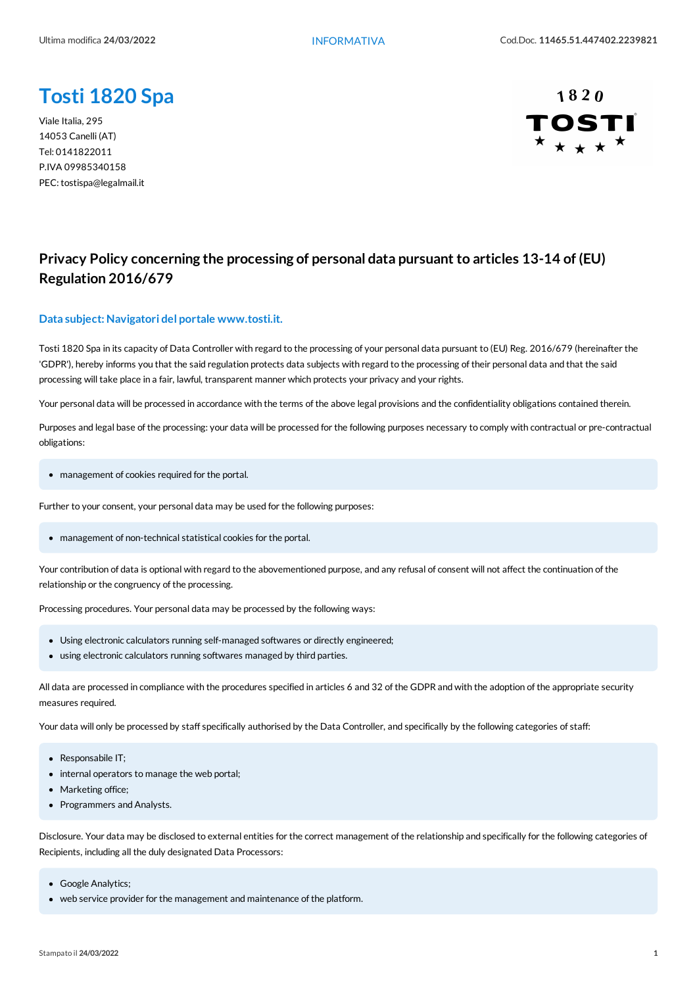# **Tosti 1820 Spa**

Viale Italia, 295 14053 Canelli (AT) Tel: 0141822011 P.IVA 09985340158 PEC: tostispa@legalmail.it



## **Privacy Policy concerning the processing of personal data pursuant to articles 13-14 of (EU) Regulation 2016/679**

#### **Data subject:Navigatori del portale www.tosti.it.**

Tosti 1820 Spa in its capacity of Data Controller with regard to the processing of your personal data pursuant to (EU) Reg. 2016/679 (hereinafter the 'GDPR'), hereby informs you that the said regulation protects data subjects with regard to the processing of their personal data and that the said processing will take place in a fair, lawful, transparent manner which protects your privacy and your rights.

Your personal data will be processed in accordance with the terms of the above legal provisions and the confidentiality obligations contained therein.

Purposes and legal base of the processing: your data will be processed for the following purposes necessary to comply with contractual or pre-contractual obligations:

• management of cookies required for the portal.

Further to your consent, your personal data may be used for the following purposes:

• management of non-technical statistical cookies for the portal.

Your contribution of data is optional with regard to the abovementioned purpose, and any refusal of consent will not affect the continuation of the relationship or the congruency of the processing.

Processing procedures. Your personal data may be processed by the following ways:

- Using electronic calculators running self-managed softwares or directly engineered;
- using electronic calculators running softwares managed by third parties.

All data are processed in compliance with the procedures specified in articles 6 and 32 of the GDPR and with the adoption of the appropriate security measures required.

Your data will only be processed by staff specifically authorised by the Data Controller, and specifically by the following categories of staff:

- Responsabile IT;
- internal operators to manage the web portal;
- Marketing office;
- Programmers and Analysts.

Disclosure. Your data may be disclosed to external entities for the correct management of the relationship and specifically for the following categories of Recipients, including all the duly designated Data Processors:

- Google Analytics;
- web service provider for the management and maintenance of the platform.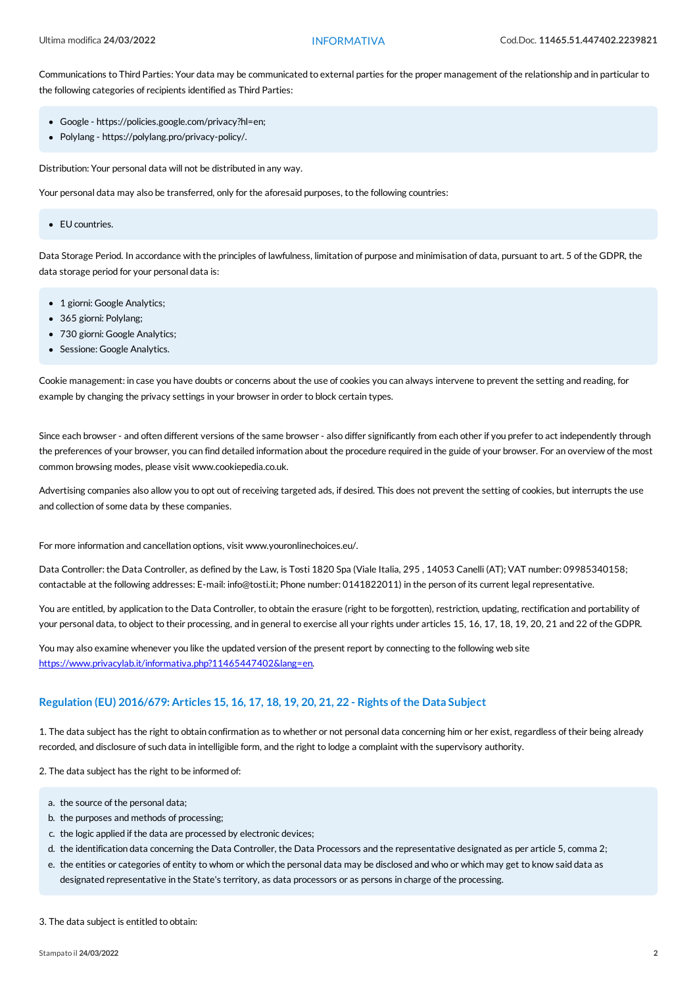Communications to Third Parties: Your data may be communicated to external parties for the proper management of the relationship and in particular to the following categories of recipients identified as Third Parties:

- Google https://policies.google.com/privacy?hl=en;
- Polylang https://polylang.pro/privacy-policy/.

Distribution: Your personal data will not be distributed in any way.

Your personal data may also be transferred, only for the aforesaid purposes, to the following countries:

• EU countries.

Data Storage Period. In accordance with the principles of lawfulness, limitation of purpose and minimisation of data, pursuant to art. 5 of the GDPR, the data storage period for your personal data is:

- 1 giorni: Google Analytics;
- 365 giorni: Polylang;
- 730 giorni: Google Analytics;
- Sessione: Google Analytics.

Cookie management: in case you have doubts or concerns about the use of cookies you can always intervene to prevent the setting and reading, for example by changing the privacy settings in your browser in order to block certain types.

Since each browser - and often different versions of the same browser - also differ significantly from each other if you prefer to act independently through the preferences of your browser, you can find detailed information about the procedure required in the guide of your browser. For an overview of the most common browsing modes, please visit www.cookiepedia.co.uk.

Advertising companies also allow you to opt out ofreceiving targeted ads, if desired. This does not prevent the setting ofcookies, but interrupts the use and collection of some data by these companies.

For more information and cancellation options, visit www.youronlinechoices.eu/.

Data Controller: the Data Controller, as defined by the Law, is Tosti 1820 Spa (Viale Italia, 295 , 14053 Canelli (AT); VAT number: 09985340158; contactable at the following addresses: E-mail: info@tosti.it; Phone number: 0141822011) in the person of its current legal representative.

You are entitled, by application to the Data Controller, to obtain the erasure (right to be forgotten), restriction, updating, rectification and portability of your personal data, to object to their processing, and in general to exercise all your rights under articles 15, 16, 17, 18, 19, 20, 21 and 22 of the GDPR.

Youmay also examine whenever you like the updated version of the present report by connecting to the following web site <https://www.privacylab.it/informativa.php?11465447402&lang=en>.

### **Regulation (EU) 2016/679: Articles 15, 16, 17, 18, 19, 20, 21, 22 - Rights of the Data Subject**

1. The data subject has the right to obtain confirmation as to whether or not personal data concerning him or her exist, regardless of their being already recorded, and disclosure ofsuch data in intelligible form, and the right to lodge a complaint with the supervisory authority.

2. The data subject has the right to be informed of:

- a. the source of the personal data;
- b. the purposes and methods of processing;
- c. the logic applied if the data are processed by electronic devices;
- d. the identification data concerning the Data Controller, the Data Processors and the representative designated as per article 5, comma 2;
- e. the entities or categories of entity to whom or which the personal data may be disclosed and who or which may get to know said data as designated representative in the State's territory, as data processors or as persons in charge of the processing.

#### 3. The data subject is entitled to obtain: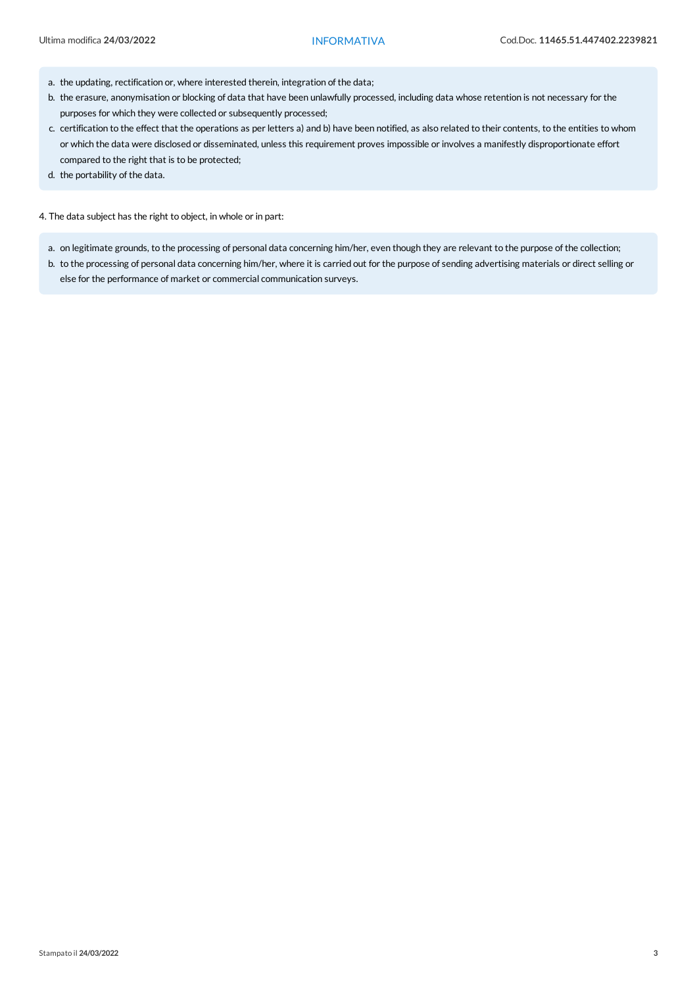- a. the updating, rectification or, where interested therein, integration of the data;
- b. the erasure, anonymisation or blocking of data that have been unlawfully processed, including data whose retention is not necessary for the purposes for which they were collected or subsequently processed;
- c. certification to the effect that the operations as per letters a) and b) have been notified, as also related to their contents, to the entities to whom or which the data were disclosed or disseminated, unless this requirement proves impossible or involves a manifestly disproportionate effort compared to the right that is to be protected;
- d. the portability of the data.

4. The data subject has the right to object, in whole or in part:

- a. on legitimate grounds, to the processing of personal data concerning him/her, even though they are relevant to the purpose of the collection;
- b. to the processing of personal data concerning him/her, where it is carried out for the purpose of sending advertising materials or direct selling or else for the performance of market or commercial communication surveys.